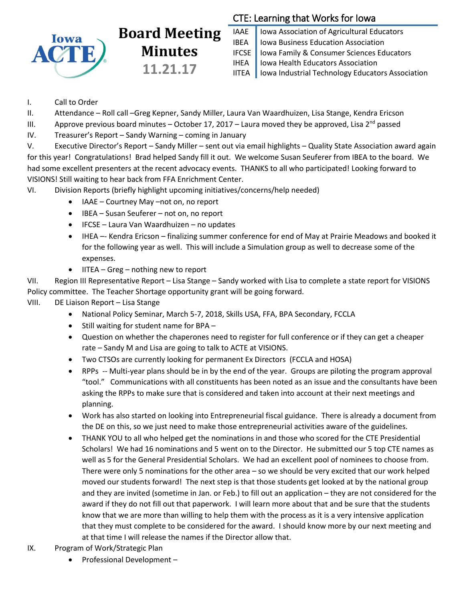

# **Board Meeting Minutes 11.21.17**

# CTE: Learning that Works for Iowa

IAAE | Iowa Association of Agricultural Educators IBEA | Iowa Business Education Association IFCSE Iowa Family & Consumer Sciences Educators IHEA | Iowa Health Educators Association IITEA | Iowa Industrial Technology Educators Association

- I. Call to Order
- II. Attendance Roll call –Greg Kepner, Sandy Miller, Laura Van Waardhuizen, Lisa Stange, Kendra Ericson
- III. Approve previous board minutes October 17, 2017 Laura moved they be approved, Lisa 2<sup>nd</sup> passed
- IV. Treasurer's Report Sandy Warning coming in January

V. Executive Director's Report – Sandy Miller – sent out via email highlights – Quality State Association award again for this year! Congratulations! Brad helped Sandy fill it out. We welcome Susan Seuferer from IBEA to the board. We had some excellent presenters at the recent advocacy events. THANKS to all who participated! Looking forward to VISIONS! Still waiting to hear back from FFA Enrichment Center.

- VI. Division Reports (briefly highlight upcoming initiatives/concerns/help needed)
	- IAAE Courtney May –not on, no report
	- IBEA Susan Seuferer not on, no report
	- IFCSE Laura Van Waardhuizen no updates
	- IHEA –- Kendra Ericson finalizing summer conference for end of May at Prairie Meadows and booked it for the following year as well. This will include a Simulation group as well to decrease some of the expenses.
	- $\bullet$  IITEA Greg nothing new to report

VII. Region III Representative Report – Lisa Stange – Sandy worked with Lisa to complete a state report for VISIONS Policy committee. The Teacher Shortage opportunity grant will be going forward.

- VIII. DE Liaison Report Lisa Stange
	- National Policy Seminar, March 5-7, 2018, Skills USA, FFA, BPA Secondary, FCCLA
	- Still waiting for student name for BPA -
	- Question on whether the chaperones need to register for full conference or if they can get a cheaper rate – Sandy M and Lisa are going to talk to ACTE at VISIONS.
	- Two CTSOs are currently looking for permanent Ex Directors (FCCLA and HOSA)
	- RPPs -- Multi-year plans should be in by the end of the year. Groups are piloting the program approval "tool." Communications with all constituents has been noted as an issue and the consultants have been asking the RPPs to make sure that is considered and taken into account at their next meetings and planning.
	- Work has also started on looking into Entrepreneurial fiscal guidance. There is already a document from the DE on this, so we just need to make those entrepreneurial activities aware of the guidelines.
	- THANK YOU to all who helped get the nominations in and those who scored for the CTE Presidential Scholars! We had 16 nominations and 5 went on to the Director. He submitted our 5 top CTE names as well as 5 for the General Presidential Scholars. We had an excellent pool of nominees to choose from. There were only 5 nominations for the other area – so we should be very excited that our work helped moved our students forward! The next step is that those students get looked at by the national group and they are invited (sometime in Jan. or Feb.) to fill out an application – they are not considered for the award if they do not fill out that paperwork. I will learn more about that and be sure that the students know that we are more than willing to help them with the process as it is a very intensive application that they must complete to be considered for the award. I should know more by our next meeting and at that time I will release the names if the Director allow that.
- IX. Program of Work/Strategic Plan
	- Professional Development –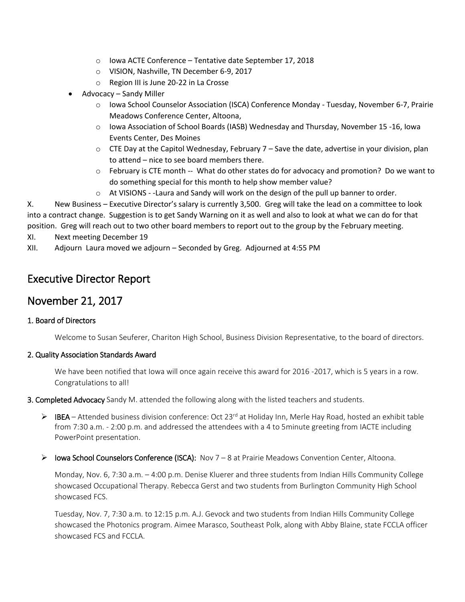- o Iowa ACTE Conference Tentative date September 17, 2018
- o VISION, Nashville, TN December 6-9, 2017
- o Region III is June 20-22 in La Crosse
- Advocacy Sandy Miller
	- o Iowa School Counselor Association (ISCA) Conference Monday Tuesday, November 6-7, Prairie Meadows Conference Center, Altoona,
	- $\circ$  Iowa Association of School Boards (IASB) Wednesday and Thursday, November 15 -16, Iowa Events Center, Des Moines
	- $\circ$  CTE Day at the Capitol Wednesday, February 7 Save the date, advertise in your division, plan to attend – nice to see board members there.
	- o February is CTE month -- What do other states do for advocacy and promotion? Do we want to do something special for this month to help show member value?
	- $\circ$  At VISIONS -Laura and Sandy will work on the design of the pull up banner to order.

X. New Business – Executive Director's salary is currently 3,500. Greg will take the lead on a committee to look into a contract change. Suggestion is to get Sandy Warning on it as well and also to look at what we can do for that position. Greg will reach out to two other board members to report out to the group by the February meeting.

- XI. Next meeting December 19
- XII. Adjourn Laura moved we adjourn Seconded by Greg. Adjourned at 4:55 PM

# Executive Director Report

# November 21, 2017

# 1. Board of Directors

Welcome to Susan Seuferer, Chariton High School, Business Division Representative, to the board of directors.

### 2. Quality Association Standards Award

We have been notified that Iowa will once again receive this award for 2016 -2017, which is 5 years in a row. Congratulations to all!

3. Completed Advocacy Sandy M. attended the following along with the listed teachers and students.

- $\triangleright$  IBEA Attended business division conference: Oct 23<sup>rd</sup> at Holiday Inn, Merle Hay Road, hosted an exhibit table from 7:30 a.m. - 2:00 p.m. and addressed the attendees with a 4 to 5minute greeting from IACTE including PowerPoint presentation.
- $\triangleright$  lowa School Counselors Conference (ISCA): Nov 7 8 at Prairie Meadows Convention Center, Altoona.

Monday, Nov. 6, 7:30 a.m. – 4:00 p.m. Denise Kluerer and three students from Indian Hills Community College showcased Occupational Therapy. Rebecca Gerst and two students from Burlington Community High School showcased FCS.

Tuesday, Nov. 7, 7:30 a.m. to 12:15 p.m. A.J. Gevock and two students from Indian Hills Community College showcased the Photonics program. Aimee Marasco, Southeast Polk, along with Abby Blaine, state FCCLA officer showcased FCS and FCCLA.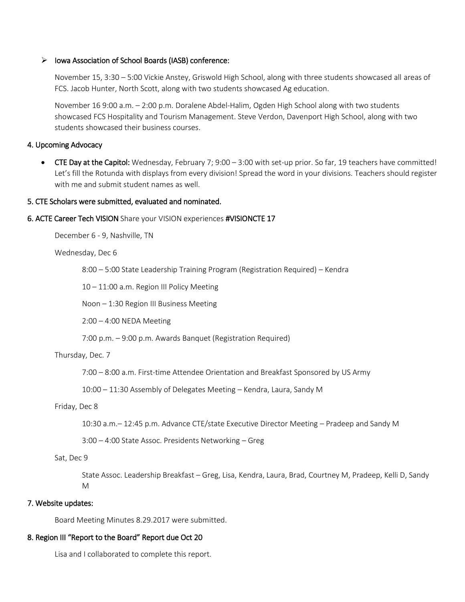#### $\triangleright$  Iowa Association of School Boards (IASB) conference:

November 15, 3:30 – 5:00 Vickie Anstey, Griswold High School, along with three students showcased all areas of FCS. Jacob Hunter, North Scott, along with two students showcased Ag education.

November 16 9:00 a.m. – 2:00 p.m. Doralene Abdel-Halim, Ogden High School along with two students showcased FCS Hospitality and Tourism Management. Steve Verdon, Davenport High School, along with two students showcased their business courses.

#### 4. Upcoming Advocacy

 CTE Day at the Capitol: Wednesday, February 7; 9:00 – 3:00 with set-up prior. So far, 19 teachers have committed! Let's fill the Rotunda with displays from every division! Spread the word in your divisions. Teachers should register with me and submit student names as well.

#### 5. CTE Scholars were submitted, evaluated and nominated.

#### 6. ACTE Career Tech VISION Share your VISION experiences #VISIONCTE 17

December 6 - 9, Nashville, TN

#### Wednesday, Dec 6

8:00 – 5:00 State Leadership Training Program (Registration Required) – Kendra

10 – 11:00 a.m. Region III Policy Meeting

Noon – 1:30 Region III Business Meeting

2:00 – 4:00 NEDA Meeting

7:00 p.m. – 9:00 p.m. Awards Banquet (Registration Required)

#### Thursday, Dec. 7

7:00 – 8:00 a.m. First-time Attendee Orientation and Breakfast Sponsored by US Army

10:00 – 11:30 Assembly of Delegates Meeting – Kendra, Laura, Sandy M

#### Friday, Dec 8

10:30 a.m.– 12:45 p.m. Advance CTE/state Executive Director Meeting – Pradeep and Sandy M

3:00 – 4:00 State Assoc. Presidents Networking – Greg

#### Sat, Dec 9

State Assoc. Leadership Breakfast – Greg, Lisa, Kendra, Laura, Brad, Courtney M, Pradeep, Kelli D, Sandy M

#### 7. Website updates:

Board Meeting Minutes 8.29.2017 were submitted.

# 8. Region III "Report to the Board" Report due Oct 20

Lisa and I collaborated to complete this report.